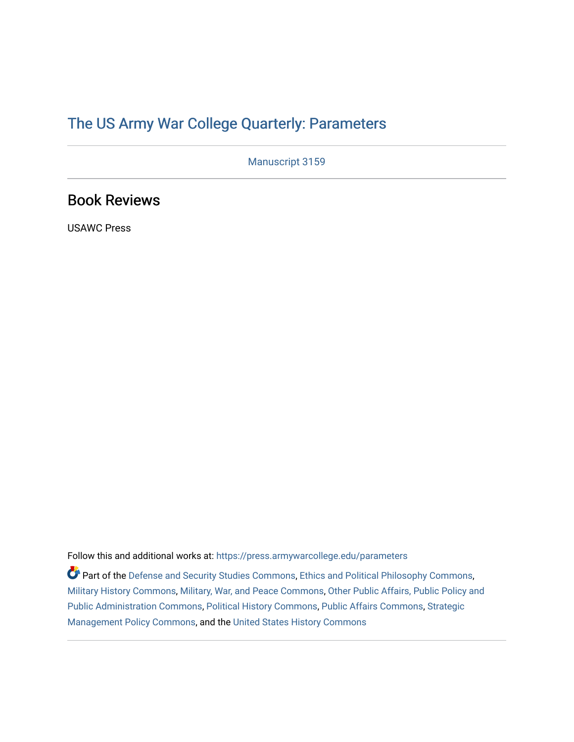# [The US Army War College Quarterly: Parameters](https://press.armywarcollege.edu/parameters)

Manuscript 3159

# Book Reviews

USAWC Press

Follow this and additional works at: [https://press.armywarcollege.edu/parameters](https://press.armywarcollege.edu/parameters?utm_source=press.armywarcollege.edu%2Fparameters%2Fvol52%2Fiss2%2F18&utm_medium=PDF&utm_campaign=PDFCoverPages) 

Part of the [Defense and Security Studies Commons](https://network.bepress.com/hgg/discipline/394?utm_source=press.armywarcollege.edu%2Fparameters%2Fvol52%2Fiss2%2F18&utm_medium=PDF&utm_campaign=PDFCoverPages), [Ethics and Political Philosophy Commons](https://network.bepress.com/hgg/discipline/529?utm_source=press.armywarcollege.edu%2Fparameters%2Fvol52%2Fiss2%2F18&utm_medium=PDF&utm_campaign=PDFCoverPages), [Military History Commons,](https://network.bepress.com/hgg/discipline/504?utm_source=press.armywarcollege.edu%2Fparameters%2Fvol52%2Fiss2%2F18&utm_medium=PDF&utm_campaign=PDFCoverPages) [Military, War, and Peace Commons,](https://network.bepress.com/hgg/discipline/861?utm_source=press.armywarcollege.edu%2Fparameters%2Fvol52%2Fiss2%2F18&utm_medium=PDF&utm_campaign=PDFCoverPages) [Other Public Affairs, Public Policy and](https://network.bepress.com/hgg/discipline/403?utm_source=press.armywarcollege.edu%2Fparameters%2Fvol52%2Fiss2%2F18&utm_medium=PDF&utm_campaign=PDFCoverPages)  [Public Administration Commons,](https://network.bepress.com/hgg/discipline/403?utm_source=press.armywarcollege.edu%2Fparameters%2Fvol52%2Fiss2%2F18&utm_medium=PDF&utm_campaign=PDFCoverPages) [Political History Commons,](https://network.bepress.com/hgg/discipline/505?utm_source=press.armywarcollege.edu%2Fparameters%2Fvol52%2Fiss2%2F18&utm_medium=PDF&utm_campaign=PDFCoverPages) [Public Affairs Commons,](https://network.bepress.com/hgg/discipline/399?utm_source=press.armywarcollege.edu%2Fparameters%2Fvol52%2Fiss2%2F18&utm_medium=PDF&utm_campaign=PDFCoverPages) [Strategic](https://network.bepress.com/hgg/discipline/642?utm_source=press.armywarcollege.edu%2Fparameters%2Fvol52%2Fiss2%2F18&utm_medium=PDF&utm_campaign=PDFCoverPages)  [Management Policy Commons,](https://network.bepress.com/hgg/discipline/642?utm_source=press.armywarcollege.edu%2Fparameters%2Fvol52%2Fiss2%2F18&utm_medium=PDF&utm_campaign=PDFCoverPages) and the [United States History Commons](https://network.bepress.com/hgg/discipline/495?utm_source=press.armywarcollege.edu%2Fparameters%2Fvol52%2Fiss2%2F18&utm_medium=PDF&utm_campaign=PDFCoverPages)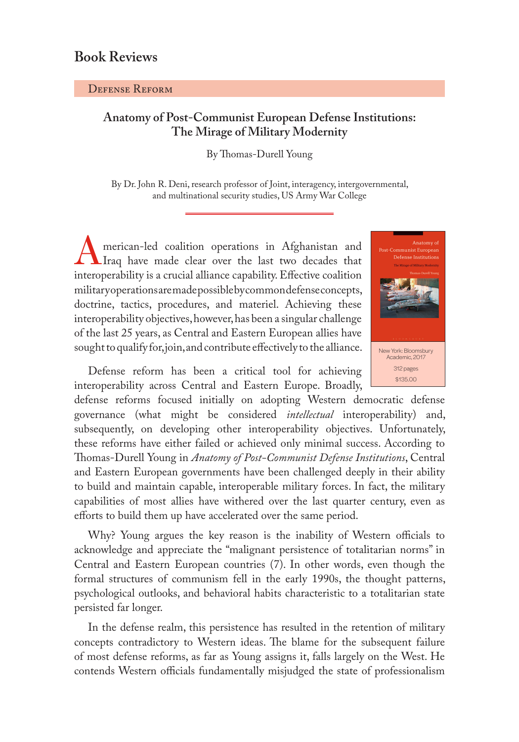## Defense Reform

# **Anatomy of Post-Communist European Defense Institutions: The Mirage of Military Modernity**

### By Thomas-Durell Young

By Dr. John R. Deni, research professor of Joint, interagency, intergovernmental, and multinational security studies, US Army War College

merican-led coalition operations in Afghanistan and Iraq have made clear over the last two decades that interoperability is a crucial alliance capability. Effective coalition military operations are made possible by common defense concepts, doctrine, tactics, procedures, and materiel. Achieving these interoperability objectives, however, has been a singular challenge of the last 25 years, as Central and Eastern European allies have sought to qualify for, join, and contribute effectively to the alliance.

Defense reform has been a critical tool for achieving interoperability across Central and Eastern Europe. Broadly,

defense reforms focused initially on adopting Western democratic defense governance (what might be considered *intellectual* interoperability) and, subsequently, on developing other interoperability objectives. Unfortunately, these reforms have either failed or achieved only minimal success. According to Thomas-Durell Young in *Anatomy of Post-Communist Defense Institutions*, Central and Eastern European governments have been challenged deeply in their ability to build and maintain capable, interoperable military forces. In fact, the military capabilities of most allies have withered over the last quarter century, even as efforts to build them up have accelerated over the same period.

Why? Young argues the key reason is the inability of Western officials to acknowledge and appreciate the "malignant persistence of totalitarian norms" in Central and Eastern European countries (7). In other words, even though the formal structures of communism fell in the early 1990s, the thought patterns, psychological outlooks, and behavioral habits characteristic to a totalitarian state persisted far longer.

In the defense realm, this persistence has resulted in the retention of military concepts contradictory to Western ideas. The blame for the subsequent failure of most defense reforms, as far as Young assigns it, falls largely on the West. He contends Western officials fundamentally misjudged the state of professionalism

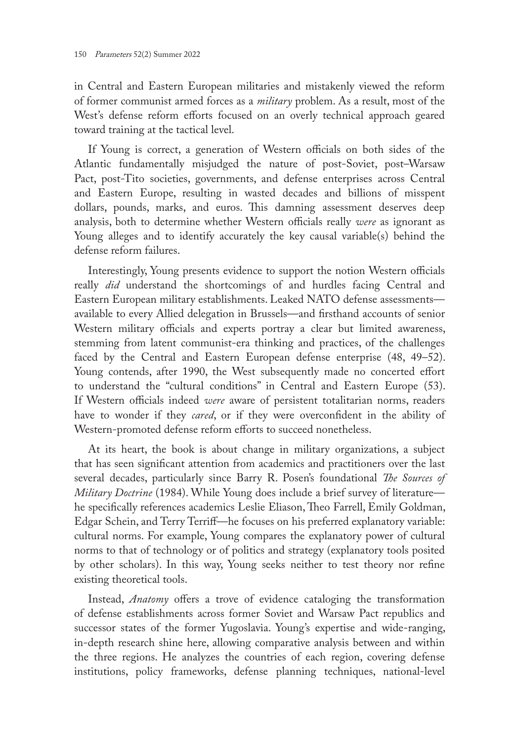in Central and Eastern European militaries and mistakenly viewed the reform of former communist armed forces as a *military* problem. As a result, most of the West's defense reform efforts focused on an overly technical approach geared toward training at the tactical level.

If Young is correct, a generation of Western officials on both sides of the Atlantic fundamentally misjudged the nature of post-Soviet, post–Warsaw Pact, post-Tito societies, governments, and defense enterprises across Central and Eastern Europe, resulting in wasted decades and billions of misspent dollars, pounds, marks, and euros. This damning assessment deserves deep analysis, both to determine whether Western officials really *were* as ignorant as Young alleges and to identify accurately the key causal variable(s) behind the defense reform failures.

Interestingly, Young presents evidence to support the notion Western officials really *did* understand the shortcomings of and hurdles facing Central and Eastern European military establishments. Leaked NATO defense assessments available to every Allied delegation in Brussels—and firsthand accounts of senior Western military officials and experts portray a clear but limited awareness, stemming from latent communist-era thinking and practices, of the challenges faced by the Central and Eastern European defense enterprise (48, 49–52). Young contends, after 1990, the West subsequently made no concerted effort to understand the "cultural conditions" in Central and Eastern Europe (53). If Western officials indeed *were* aware of persistent totalitarian norms, readers have to wonder if they *cared*, or if they were overconfident in the ability of Western-promoted defense reform efforts to succeed nonetheless.

At its heart, the book is about change in military organizations, a subject that has seen significant attention from academics and practitioners over the last several decades, particularly since Barry R. Posen's foundational *The Sources of Military Doctrine* (1984). While Young does include a brief survey of literature he specifically references academics Leslie Eliason, Theo Farrell, Emily Goldman, Edgar Schein, and Terry Terriff—he focuses on his preferred explanatory variable: cultural norms. For example, Young compares the explanatory power of cultural norms to that of technology or of politics and strategy (explanatory tools posited by other scholars). In this way, Young seeks neither to test theory nor refine existing theoretical tools.

Instead, *Anatomy* offers a trove of evidence cataloging the transformation of defense establishments across former Soviet and Warsaw Pact republics and successor states of the former Yugoslavia. Young's expertise and wide-ranging, in-depth research shine here, allowing comparative analysis between and within the three regions. He analyzes the countries of each region, covering defense institutions, policy frameworks, defense planning techniques, national-level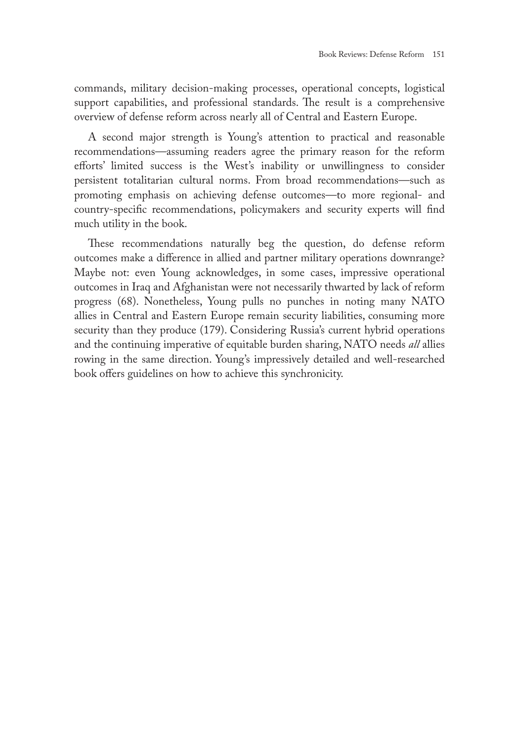commands, military decision-making processes, operational concepts, logistical support capabilities, and professional standards. The result is a comprehensive overview of defense reform across nearly all of Central and Eastern Europe.

A second major strength is Young's attention to practical and reasonable recommendations—assuming readers agree the primary reason for the reform efforts' limited success is the West's inability or unwillingness to consider persistent totalitarian cultural norms. From broad recommendations—such as promoting emphasis on achieving defense outcomes—to more regional- and country-specific recommendations, policymakers and security experts will find much utility in the book.

These recommendations naturally beg the question, do defense reform outcomes make a difference in allied and partner military operations downrange? Maybe not: even Young acknowledges, in some cases, impressive operational outcomes in Iraq and Afghanistan were not necessarily thwarted by lack of reform progress (68). Nonetheless, Young pulls no punches in noting many NATO allies in Central and Eastern Europe remain security liabilities, consuming more security than they produce (179). Considering Russia's current hybrid operations and the continuing imperative of equitable burden sharing, NATO needs *all* allies rowing in the same direction. Young's impressively detailed and well-researched book offers guidelines on how to achieve this synchronicity.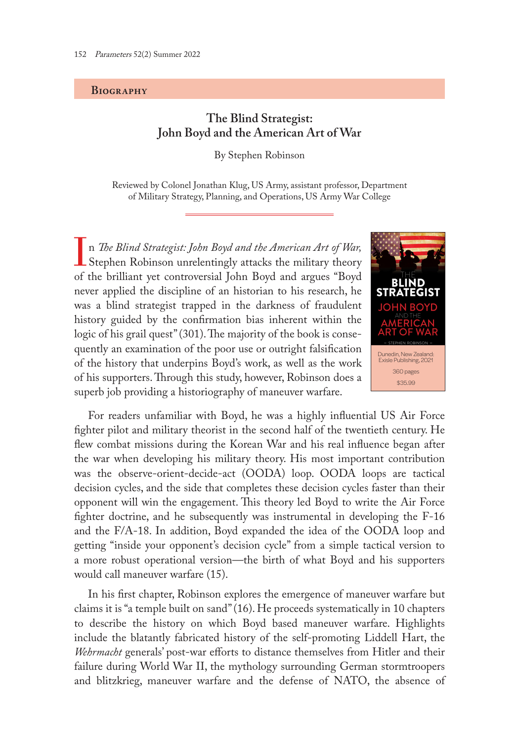#### **Biography**

## **The Blind Strategist: John Boyd and the American Art of War**

By Stephen Robinson

Reviewed by Colonel Jonathan Klug, US Army, assistant professor, Department of Military Strategy, Planning, and Operations, US Army War College

In *The Blind Strategist: John Boyd and the American Art of War,* **L** Stephen Robinson unrelentingly attacks the military theory of the brilliant yet controversial John Boyd and argues "Boyd never applied the discipline of an historian to his research, he was a blind strategist trapped in the darkness of fraudulent history guided by the confirmation bias inherent within the logic of his grail quest" (301). The majority of the book is consequently an examination of the poor use or outright falsification of the history that underpins Boyd's work, as well as the work of his supporters. Through this study, however, Robinson does a superb job providing a historiography of maneuver warfare.



For readers unfamiliar with Boyd, he was a highly influential US Air Force fighter pilot and military theorist in the second half of the twentieth century. He flew combat missions during the Korean War and his real influence began after the war when developing his military theory. His most important contribution was the observe-orient-decide-act (OODA) loop. OODA loops are tactical decision cycles, and the side that completes these decision cycles faster than their opponent will win the engagement. This theory led Boyd to write the Air Force fighter doctrine, and he subsequently was instrumental in developing the F-16 and the F/A-18. In addition, Boyd expanded the idea of the OODA loop and getting "inside your opponent's decision cycle" from a simple tactical version to a more robust operational version—the birth of what Boyd and his supporters would call maneuver warfare (15).

In his first chapter, Robinson explores the emergence of maneuver warfare but claims it is "a temple built on sand" (16). He proceeds systematically in 10 chapters to describe the history on which Boyd based maneuver warfare. Highlights include the blatantly fabricated history of the self-promoting Liddell Hart, the *Wehrmacht* generals' post-war efforts to distance themselves from Hitler and their failure during World War II, the mythology surrounding German stormtroopers and blitzkrieg, maneuver warfare and the defense of NATO, the absence of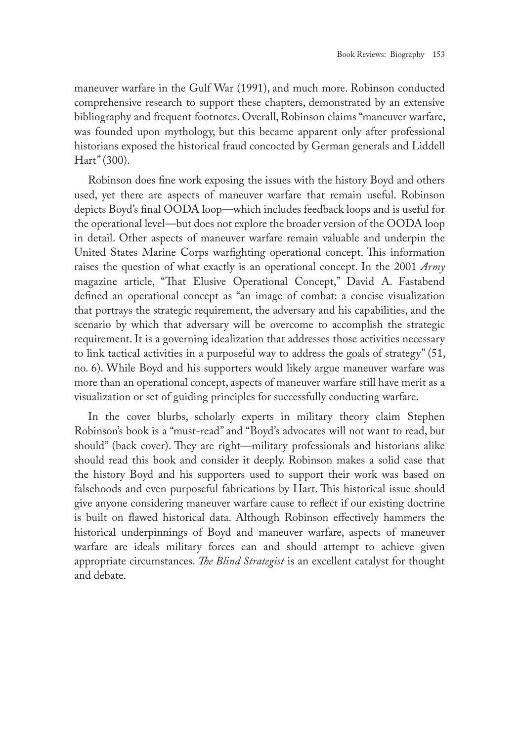maneuver warfare in the Gulf War (1991), and much more. Robinson conducted comprehensive research to support these chapters, demonstrated by an extensive bibliography and frequent footnotes. Overall, Robinson claims "maneuver warfare, was founded upon mythology, but this became apparent only after professional historians exposed the historical fraud concocted by German generals and Liddell Hart" (300).

Robinson does fine work exposing the issues with the history Boyd and others used, yet there are aspects of maneuver warfare that remain useful. Robinson depicts Boyd's final OODA loop—which includes feedback loops and is useful for the operational level—but does not explore the broader version of the OODA loop in detail. Other aspects of maneuver warfare remain valuable and underpin the United States Marine Corps warfighting operational concept. This information raises the question of what exactly is an operational concept. In the 2001 *Army* magazine article, "That Elusive Operational Concept," David A. Fastabend defined an operational concept as "an image of combat: a concise visualization that portrays the strategic requirement, the adversary and his capabilities, and the scenario by which that adversary will be overcome to accomplish the strategic requirement. It is a governing idealization that addresses those activities necessary to link tactical activities in a purposeful way to address the goals of strategy" (51, no. 6). While Boyd and his supporters would likely argue maneuver warfare was more than an operational concept, aspects of maneuver warfare still have merit as a visualization or set of guiding principles for successfully conducting warfare.

In the cover blurbs, scholarly experts in military theory claim Stephen Robinson's book is a "must-read" and "Boyd's advocates will not want to read, but should" (back cover). They are right—military professionals and historians alike should read this book and consider it deeply. Robinson makes a solid case that the history Boyd and his supporters used to support their work was based on falsehoods and even purposeful fabrications by Hart. This historical issue should give anyone considering maneuver warfare cause to reflect if our existing doctrine is built on flawed historical data. Although Robinson effectively hammers the historical underpinnings of Boyd and maneuver warfare, aspects of maneuver warfare are ideals military forces can and should attempt to achieve given appropriate circumstances. *The Blind Strategist* is an excellent catalyst for thought and debate.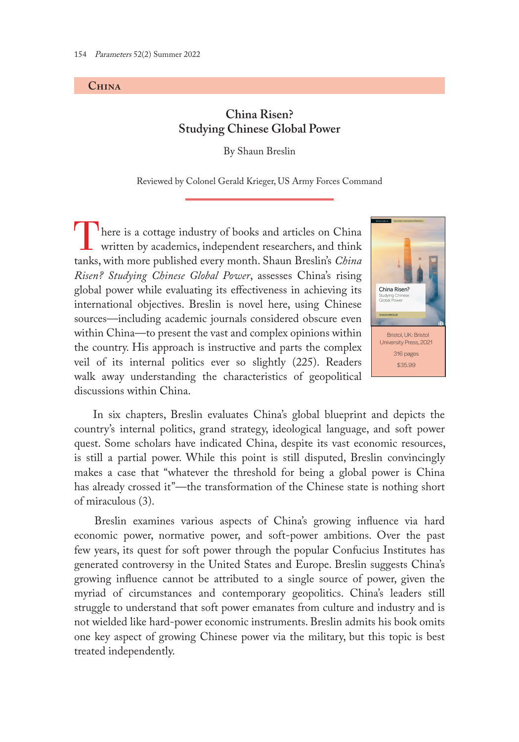#### **China**

# **China Risen? Studying Chinese Global Power**

By Shaun Breslin

Reviewed by Colonel Gerald Krieger, US Army Forces Command

There is a cottage industry of books and articles on China written by academics, independent researchers, and think tanks, with more published every month. Shaun Breslin's *China Risen? Studying Chinese Global Power*, assesses China's rising global power while evaluating its effectiveness in achieving its international objectives. Breslin is novel here, using Chinese sources—including academic journals considered obscure even within China—to present the vast and complex opinions within the country. His approach is instructive and parts the complex veil of its internal politics ever so slightly (225). Readers walk away understanding the characteristics of geopolitical discussions within China.



 In six chapters, Breslin evaluates China's global blueprint and depicts the country's internal politics, grand strategy, ideological language, and soft power quest. Some scholars have indicated China, despite its vast economic resources, is still a partial power. While this point is still disputed, Breslin convincingly makes a case that "whatever the threshold for being a global power is China has already crossed it"—the transformation of the Chinese state is nothing short of miraculous (3).

 Breslin examines various aspects of China's growing influence via hard economic power, normative power, and soft-power ambitions. Over the past few years, its quest for soft power through the popular Confucius Institutes has generated controversy in the United States and Europe. Breslin suggests China's growing influence cannot be attributed to a single source of power, given the myriad of circumstances and contemporary geopolitics. China's leaders still struggle to understand that soft power emanates from culture and industry and is not wielded like hard-power economic instruments. Breslin admits his book omits one key aspect of growing Chinese power via the military, but this topic is best treated independently.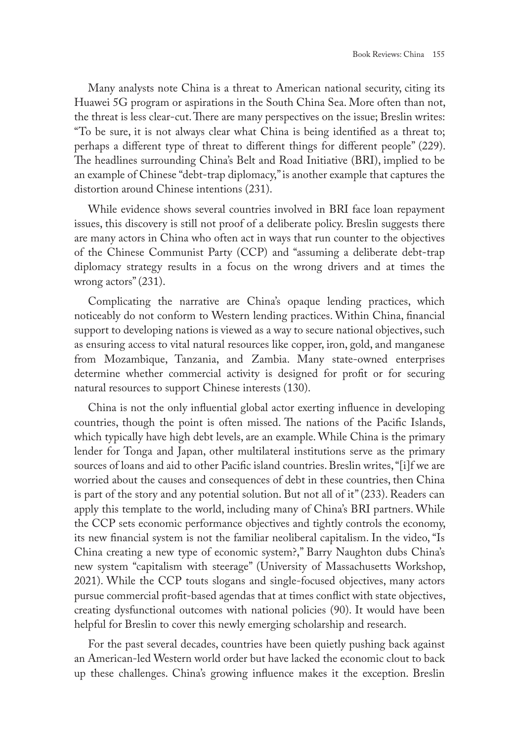Many analysts note China is a threat to American national security, citing its Huawei 5G program or aspirations in the South China Sea. More often than not, the threat is less clear-cut. There are many perspectives on the issue; Breslin writes: "To be sure, it is not always clear what China is being identified as a threat to; perhaps a different type of threat to different things for different people" (229). The headlines surrounding China's Belt and Road Initiative (BRI), implied to be an example of Chinese "debt-trap diplomacy," is another example that captures the distortion around Chinese intentions (231).

While evidence shows several countries involved in BRI face loan repayment issues, this discovery is still not proof of a deliberate policy. Breslin suggests there are many actors in China who often act in ways that run counter to the objectives of the Chinese Communist Party (CCP) and "assuming a deliberate debt-trap diplomacy strategy results in a focus on the wrong drivers and at times the wrong actors" (231).

Complicating the narrative are China's opaque lending practices, which noticeably do not conform to Western lending practices. Within China, financial support to developing nations is viewed as a way to secure national objectives, such as ensuring access to vital natural resources like copper, iron, gold, and manganese from Mozambique, Tanzania, and Zambia. Many state-owned enterprises determine whether commercial activity is designed for profit or for securing natural resources to support Chinese interests (130).

China is not the only influential global actor exerting influence in developing countries, though the point is often missed. The nations of the Pacific Islands, which typically have high debt levels, are an example. While China is the primary lender for Tonga and Japan, other multilateral institutions serve as the primary sources of loans and aid to other Pacific island countries. Breslin writes, "[i]f we are worried about the causes and consequences of debt in these countries, then China is part of the story and any potential solution. But not all of it" (233). Readers can apply this template to the world, including many of China's BRI partners. While the CCP sets economic performance objectives and tightly controls the economy, its new financial system is not the familiar neoliberal capitalism. In the video, "Is China creating a new type of economic system?," Barry Naughton dubs China's new system "capitalism with steerage" (University of Massachusetts Workshop, 2021). While the CCP touts slogans and single-focused objectives, many actors pursue commercial profit-based agendas that at times conflict with state objectives, creating dysfunctional outcomes with national policies (90). It would have been helpful for Breslin to cover this newly emerging scholarship and research.

For the past several decades, countries have been quietly pushing back against an American-led Western world order but have lacked the economic clout to back up these challenges. China's growing influence makes it the exception. Breslin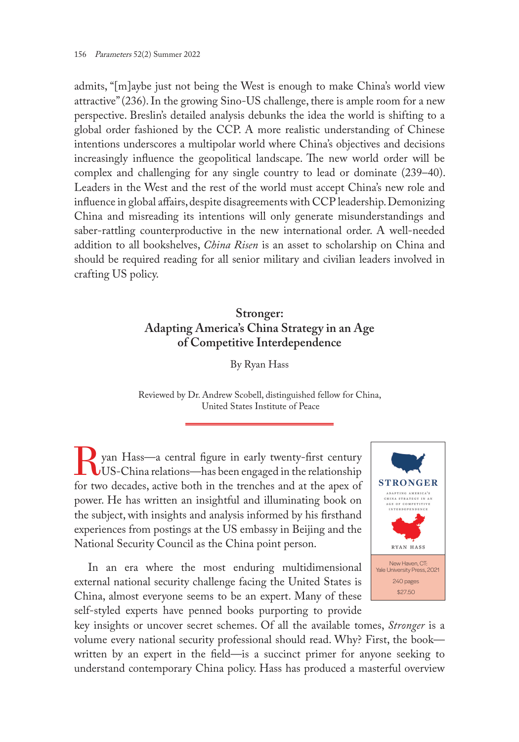admits, "[m]aybe just not being the West is enough to make China's world view attractive" (236). In the growing Sino-US challenge, there is ample room for a new perspective. Breslin's detailed analysis debunks the idea the world is shifting to a global order fashioned by the CCP. A more realistic understanding of Chinese intentions underscores a multipolar world where China's objectives and decisions increasingly influence the geopolitical landscape. The new world order will be complex and challenging for any single country to lead or dominate (239–40). Leaders in the West and the rest of the world must accept China's new role and influence in global affairs, despite disagreements with CCP leadership. Demonizing China and misreading its intentions will only generate misunderstandings and saber-rattling counterproductive in the new international order. A well-needed addition to all bookshelves, *China Risen* is an asset to scholarship on China and should be required reading for all senior military and civilian leaders involved in crafting US policy.

# **Stronger: Adapting America's China Strategy in an Age of Competitive Interdependence**

By Ryan Hass

Reviewed by Dr. Andrew Scobell, distinguished fellow for China, United States Institute of Peace

yan Hass—a central figure in early twenty-first century US-China relations—has been engaged in the relationship for two decades, active both in the trenches and at the apex of power. He has written an insightful and illuminating book on the subject, with insights and analysis informed by his firsthand experiences from postings at the US embassy in Beijing and the National Security Council as the China point person.

In an era where the most enduring multidimensional external national security challenge facing the United States is China, almost everyone seems to be an expert. Many of these self-styled experts have penned books purporting to provide



key insights or uncover secret schemes. Of all the available tomes, *Stronger* is a volume every national security professional should read. Why? First, the book written by an expert in the field—is a succinct primer for anyone seeking to understand contemporary China policy. Hass has produced a masterful overview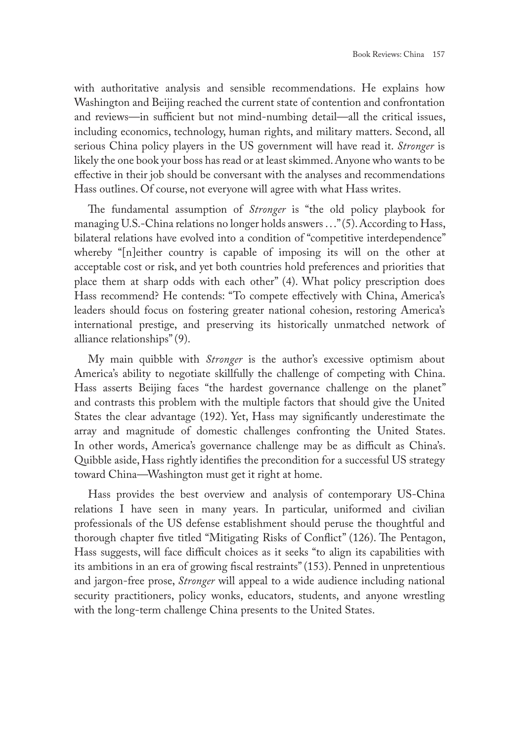with authoritative analysis and sensible recommendations. He explains how Washington and Beijing reached the current state of contention and confrontation and reviews—in sufficient but not mind-numbing detail—all the critical issues, including economics, technology, human rights, and military matters. Second, all serious China policy players in the US government will have read it. *Stronger* is likely the one book your boss has read or at least skimmed. Anyone who wants to be effective in their job should be conversant with the analyses and recommendations Hass outlines. Of course, not everyone will agree with what Hass writes.

The fundamental assumption of *Stronger* is "the old policy playbook for managing U.S.-China relations no longer holds answers . . ." (5). According to Hass, bilateral relations have evolved into a condition of "competitive interdependence" whereby "[n]either country is capable of imposing its will on the other at acceptable cost or risk, and yet both countries hold preferences and priorities that place them at sharp odds with each other" (4). What policy prescription does Hass recommend? He contends: "To compete effectively with China, America's leaders should focus on fostering greater national cohesion, restoring America's international prestige, and preserving its historically unmatched network of alliance relationships" (9).

My main quibble with *Stronger* is the author's excessive optimism about America's ability to negotiate skillfully the challenge of competing with China. Hass asserts Beijing faces "the hardest governance challenge on the planet" and contrasts this problem with the multiple factors that should give the United States the clear advantage (192). Yet, Hass may significantly underestimate the array and magnitude of domestic challenges confronting the United States. In other words, America's governance challenge may be as difficult as China's. Quibble aside, Hass rightly identifies the precondition for a successful US strategy toward China—Washington must get it right at home.

Hass provides the best overview and analysis of contemporary US-China relations I have seen in many years. In particular, uniformed and civilian professionals of the US defense establishment should peruse the thoughtful and thorough chapter five titled "Mitigating Risks of Conflict" (126). The Pentagon, Hass suggests, will face difficult choices as it seeks "to align its capabilities with its ambitions in an era of growing fiscal restraints" (153). Penned in unpretentious and jargon-free prose, *Stronger* will appeal to a wide audience including national security practitioners, policy wonks, educators, students, and anyone wrestling with the long-term challenge China presents to the United States.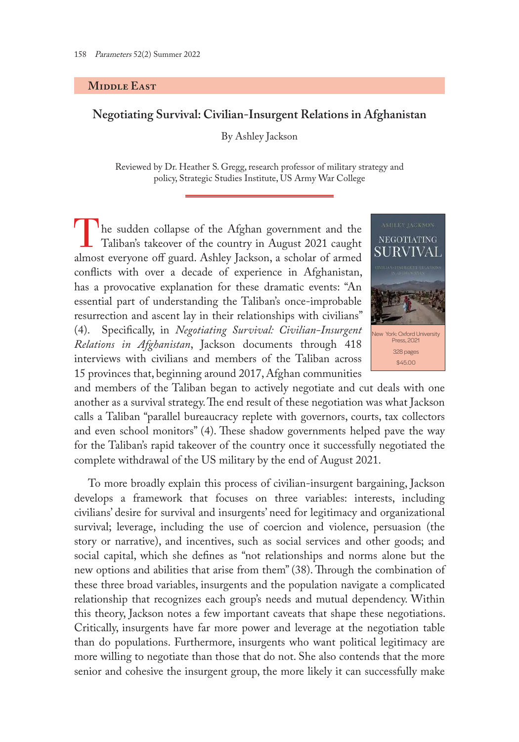#### **MIDDLE EAST**

## **Negotiating Survival: Civilian-Insurgent Relations in Afghanistan**

By Ashley Jackson

Reviewed by Dr. Heather S. Gregg, research professor of military strategy and policy, Strategic Studies Institute, US Army War College

<sup>1</sup>he sudden collapse of the Afghan government and the Taliban's takeover of the country in August 2021 caught almost everyone off guard. Ashley Jackson, a scholar of armed conflicts with over a decade of experience in Afghanistan, has a provocative explanation for these dramatic events: "An essential part of understanding the Taliban's once-improbable resurrection and ascent lay in their relationships with civilians" (4). Specifically, in *Negotiating Survival: Civilian-Insurgent Relations in Afghanistan*, Jackson documents through 418 interviews with civilians and members of the Taliban across 15 provinces that, beginning around 2017, Afghan communities



and members of the Taliban began to actively negotiate and cut deals with one another as a survival strategy. The end result of these negotiation was what Jackson calls a Taliban "parallel bureaucracy replete with governors, courts, tax collectors and even school monitors" (4). These shadow governments helped pave the way for the Taliban's rapid takeover of the country once it successfully negotiated the complete withdrawal of the US military by the end of August 2021.

To more broadly explain this process of civilian-insurgent bargaining, Jackson develops a framework that focuses on three variables: interests, including civilians' desire for survival and insurgents' need for legitimacy and organizational survival; leverage, including the use of coercion and violence, persuasion (the story or narrative), and incentives, such as social services and other goods; and social capital, which she defines as "not relationships and norms alone but the new options and abilities that arise from them" (38). Through the combination of these three broad variables, insurgents and the population navigate a complicated relationship that recognizes each group's needs and mutual dependency. Within this theory, Jackson notes a few important caveats that shape these negotiations. Critically, insurgents have far more power and leverage at the negotiation table than do populations. Furthermore, insurgents who want political legitimacy are more willing to negotiate than those that do not. She also contends that the more senior and cohesive the insurgent group, the more likely it can successfully make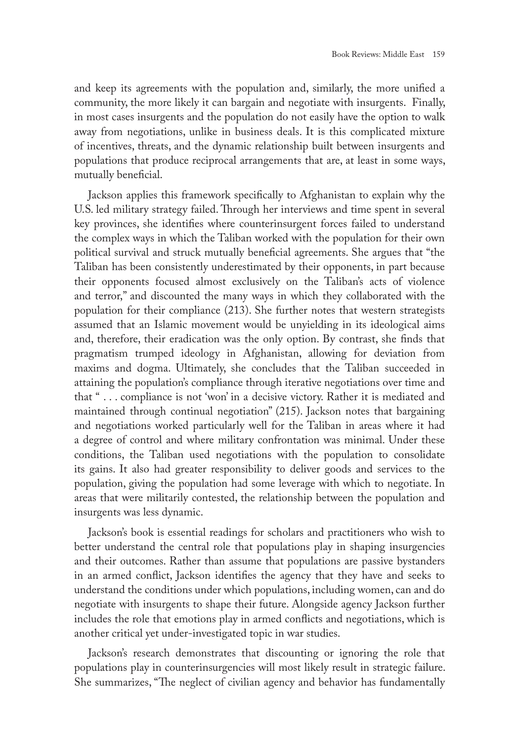and keep its agreements with the population and, similarly, the more unified a community, the more likely it can bargain and negotiate with insurgents. Finally, in most cases insurgents and the population do not easily have the option to walk away from negotiations, unlike in business deals. It is this complicated mixture of incentives, threats, and the dynamic relationship built between insurgents and populations that produce reciprocal arrangements that are, at least in some ways, mutually beneficial.

Jackson applies this framework specifically to Afghanistan to explain why the U.S. led military strategy failed. Through her interviews and time spent in several key provinces, she identifies where counterinsurgent forces failed to understand the complex ways in which the Taliban worked with the population for their own political survival and struck mutually beneficial agreements. She argues that "the Taliban has been consistently underestimated by their opponents, in part because their opponents focused almost exclusively on the Taliban's acts of violence and terror," and discounted the many ways in which they collaborated with the population for their compliance (213). She further notes that western strategists assumed that an Islamic movement would be unyielding in its ideological aims and, therefore, their eradication was the only option. By contrast, she finds that pragmatism trumped ideology in Afghanistan, allowing for deviation from maxims and dogma. Ultimately, she concludes that the Taliban succeeded in attaining the population's compliance through iterative negotiations over time and that " . . . compliance is not 'won' in a decisive victory. Rather it is mediated and maintained through continual negotiation" (215). Jackson notes that bargaining and negotiations worked particularly well for the Taliban in areas where it had a degree of control and where military confrontation was minimal. Under these conditions, the Taliban used negotiations with the population to consolidate its gains. It also had greater responsibility to deliver goods and services to the population, giving the population had some leverage with which to negotiate. In areas that were militarily contested, the relationship between the population and insurgents was less dynamic.

Jackson's book is essential readings for scholars and practitioners who wish to better understand the central role that populations play in shaping insurgencies and their outcomes. Rather than assume that populations are passive bystanders in an armed conflict, Jackson identifies the agency that they have and seeks to understand the conditions under which populations, including women, can and do negotiate with insurgents to shape their future. Alongside agency Jackson further includes the role that emotions play in armed conflicts and negotiations, which is another critical yet under-investigated topic in war studies.

Jackson's research demonstrates that discounting or ignoring the role that populations play in counterinsurgencies will most likely result in strategic failure. She summarizes, "The neglect of civilian agency and behavior has fundamentally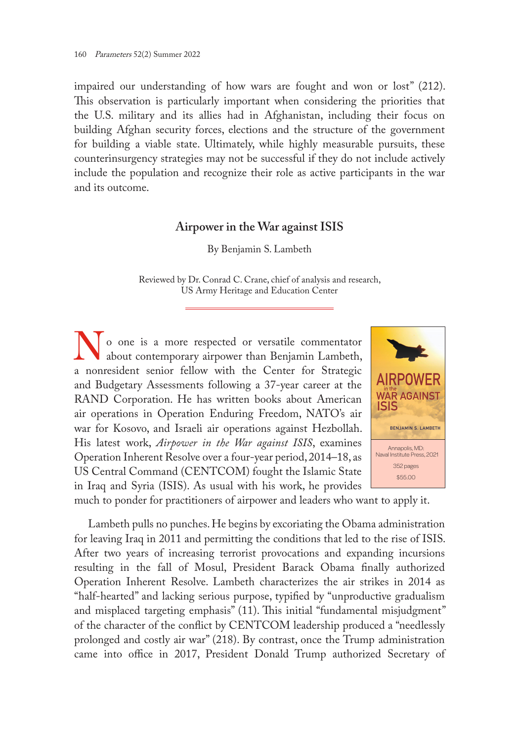impaired our understanding of how wars are fought and won or lost" (212). This observation is particularly important when considering the priorities that the U.S. military and its allies had in Afghanistan, including their focus on building Afghan security forces, elections and the structure of the government for building a viable state. Ultimately, while highly measurable pursuits, these counterinsurgency strategies may not be successful if they do not include actively include the population and recognize their role as active participants in the war and its outcome.

### **Airpower in the War against ISIS**

By Benjamin S. Lambeth

Reviewed by Dr. Conrad C. Crane, chief of analysis and research, US Army Heritage and Education Center

No one is a more respected or versatile commentator<br>about contemporary airpower than Benjamin Lambeth, a nonresident senior fellow with the Center for Strategic and Budgetary Assessments following a 37-year career at the RAND Corporation. He has written books about American air operations in Operation Enduring Freedom, NATO's air war for Kosovo, and Israeli air operations against Hezbollah. His latest work, *Airpower in the War against ISIS*, examines Operation Inherent Resolve over a four-year period, 2014–18, as US Central Command (CENTCOM) fought the Islamic State in Iraq and Syria (ISIS). As usual with his work, he provides



much to ponder for practitioners of airpower and leaders who want to apply it.

Lambeth pulls no punches. He begins by excoriating the Obama administration for leaving Iraq in 2011 and permitting the conditions that led to the rise of ISIS. After two years of increasing terrorist provocations and expanding incursions resulting in the fall of Mosul, President Barack Obama finally authorized Operation Inherent Resolve. Lambeth characterizes the air strikes in 2014 as "half-hearted" and lacking serious purpose, typified by "unproductive gradualism and misplaced targeting emphasis" (11). This initial "fundamental misjudgment" of the character of the conflict by CENTCOM leadership produced a "needlessly prolonged and costly air war" (218). By contrast, once the Trump administration came into office in 2017, President Donald Trump authorized Secretary of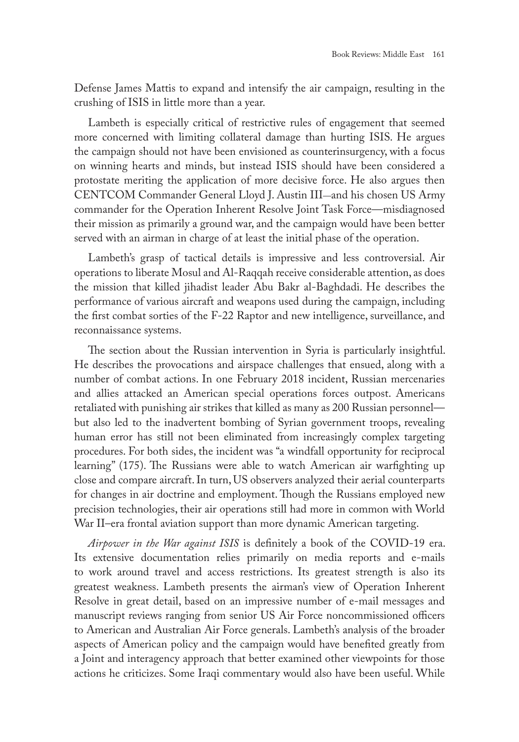Defense James Mattis to expand and intensify the air campaign, resulting in the crushing of ISIS in little more than a year.

Lambeth is especially critical of restrictive rules of engagement that seemed more concerned with limiting collateral damage than hurting ISIS. He argues the campaign should not have been envisioned as counterinsurgency, with a focus on winning hearts and minds, but instead ISIS should have been considered a protostate meriting the application of more decisive force. He also argues then CENTCOM Commander General Lloyd J. Austin III—and his chosen US Army commander for the Operation Inherent Resolve Joint Task Force—misdiagnosed their mission as primarily a ground war, and the campaign would have been better served with an airman in charge of at least the initial phase of the operation.

Lambeth's grasp of tactical details is impressive and less controversial. Air operations to liberate Mosul and Al-Raqqah receive considerable attention, as does the mission that killed jihadist leader Abu Bakr al-Baghdadi. He describes the performance of various aircraft and weapons used during the campaign, including the first combat sorties of the F-22 Raptor and new intelligence, surveillance, and reconnaissance systems.

The section about the Russian intervention in Syria is particularly insightful. He describes the provocations and airspace challenges that ensued, along with a number of combat actions. In one February 2018 incident, Russian mercenaries and allies attacked an American special operations forces outpost. Americans retaliated with punishing air strikes that killed as many as 200 Russian personnel but also led to the inadvertent bombing of Syrian government troops, revealing human error has still not been eliminated from increasingly complex targeting procedures. For both sides, the incident was "a windfall opportunity for reciprocal learning" (175). The Russians were able to watch American air warfighting up close and compare aircraft. In turn, US observers analyzed their aerial counterparts for changes in air doctrine and employment. Though the Russians employed new precision technologies, their air operations still had more in common with World War II–era frontal aviation support than more dynamic American targeting.

*Airpower in the War against ISIS* is definitely a book of the COVID-19 era. Its extensive documentation relies primarily on media reports and e-mails to work around travel and access restrictions. Its greatest strength is also its greatest weakness. Lambeth presents the airman's view of Operation Inherent Resolve in great detail, based on an impressive number of e-mail messages and manuscript reviews ranging from senior US Air Force noncommissioned officers to American and Australian Air Force generals. Lambeth's analysis of the broader aspects of American policy and the campaign would have benefited greatly from a Joint and interagency approach that better examined other viewpoints for those actions he criticizes. Some Iraqi commentary would also have been useful. While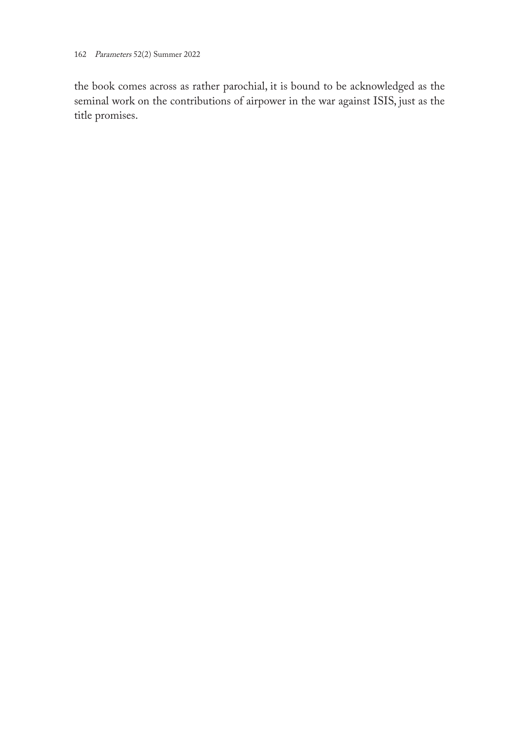the book comes across as rather parochial, it is bound to be acknowledged as the seminal work on the contributions of airpower in the war against ISIS, just as the title promises.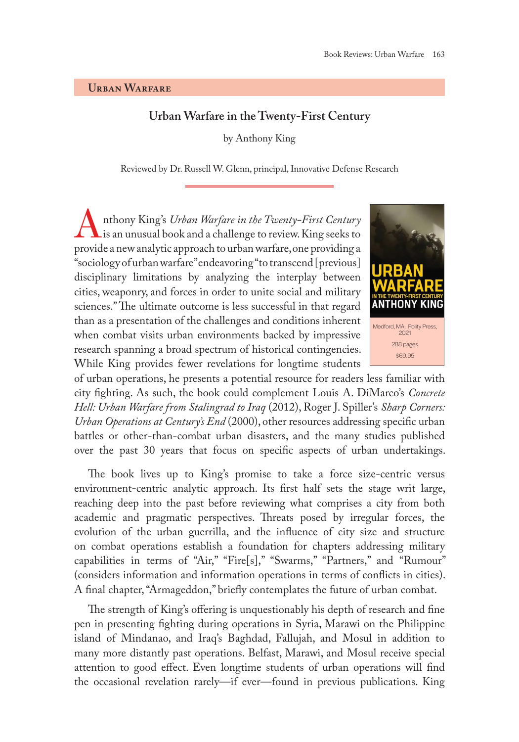#### **Urban Warfare**

## **Urban Warfare in the Twenty-First Century**

by Anthony King

Reviewed by Dr. Russell W. Glenn, principal, Innovative Defense Research

Anthony King's *Urban Warfare in the Twenty-First Century* is an unusual book and a challenge to review. King seeks to provide a new analytic approach to urban warfare, one providing a "sociology of urban warfare" endeavoring "to transcend [previous] disciplinary limitations by analyzing the interplay between cities, weaponry, and forces in order to unite social and military sciences." The ultimate outcome is less successful in that regard than as a presentation of the challenges and conditions inherent when combat visits urban environments backed by impressive research spanning a broad spectrum of historical contingencies. While King provides fewer revelations for longtime students



of urban operations, he presents a potential resource for readers less familiar with city fighting. As such, the book could complement Louis A. DiMarco's *Concrete Hell: Urban Warfare from Stalingrad to Iraq* (2012), Roger J. Spiller's *Sharp Corners: Urban Operations at Century's End* (2000), other resources addressing specific urban battles or other-than-combat urban disasters, and the many studies published over the past 30 years that focus on specific aspects of urban undertakings.

The book lives up to King's promise to take a force size-centric versus environment-centric analytic approach. Its first half sets the stage writ large, reaching deep into the past before reviewing what comprises a city from both academic and pragmatic perspectives. Threats posed by irregular forces, the evolution of the urban guerrilla, and the influence of city size and structure on combat operations establish a foundation for chapters addressing military capabilities in terms of "Air," "Fire[s]," "Swarms," "Partners," and "Rumour" (considers information and information operations in terms of conflicts in cities). A final chapter, "Armageddon," briefly contemplates the future of urban combat.

The strength of King's offering is unquestionably his depth of research and fine pen in presenting fighting during operations in Syria, Marawi on the Philippine island of Mindanao, and Iraq's Baghdad, Fallujah, and Mosul in addition to many more distantly past operations. Belfast, Marawi, and Mosul receive special attention to good effect. Even longtime students of urban operations will find the occasional revelation rarely—if ever—found in previous publications. King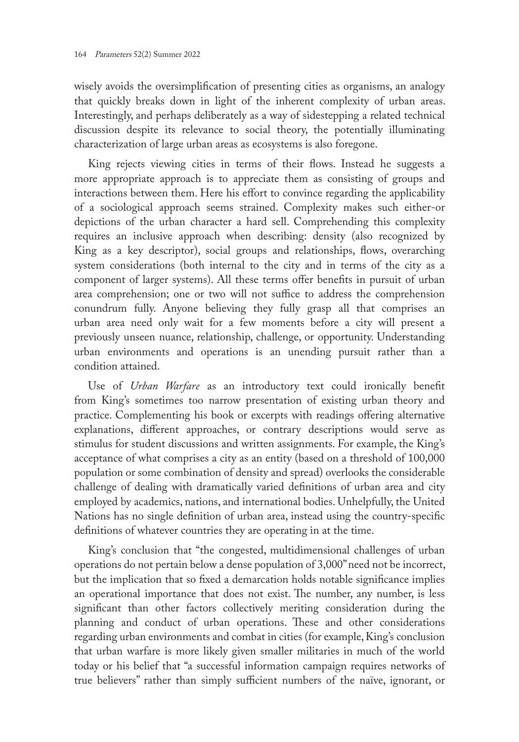wisely avoids the oversimplification of presenting cities as organisms, an analogy that quickly breaks down in light of the inherent complexity of urban areas. Interestingly, and perhaps deliberately as a way of sidestepping a related technical discussion despite its relevance to social theory, the potentially illuminating characterization of large urban areas as ecosystems is also foregone.

King rejects viewing cities in terms of their flows. Instead he suggests a more appropriate approach is to appreciate them as consisting of groups and interactions between them. Here his effort to convince regarding the applicability of a sociological approach seems strained. Complexity makes such either-or depictions of the urban character a hard sell. Comprehending this complexity requires an inclusive approach when describing: density (also recognized by King as a key descriptor), social groups and relationships, flows, overarching system considerations (both internal to the city and in terms of the city as a component of larger systems). All these terms offer benefits in pursuit of urban area comprehension; one or two will not suffice to address the comprehension conundrum fully. Anyone believing they fully grasp all that comprises an urban area need only wait for a few moments before a city will present a previously unseen nuance, relationship, challenge, or opportunity. Understanding urban environments and operations is an unending pursuit rather than a condition attained.

Use of *Urban Warfare* as an introductory text could ironically benefit from King's sometimes too narrow presentation of existing urban theory and practice. Complementing his book or excerpts with readings offering alternative explanations, different approaches, or contrary descriptions would serve as stimulus for student discussions and written assignments. For example, the King's acceptance of what comprises a city as an entity (based on a threshold of 100,000 population or some combination of density and spread) overlooks the considerable challenge of dealing with dramatically varied definitions of urban area and city employed by academics, nations, and international bodies. Unhelpfully, the United Nations has no single definition of urban area, instead using the country-specific definitions of whatever countries they are operating in at the time.

King's conclusion that "the congested, multidimensional challenges of urban operations do not pertain below a dense population of 3,000" need not be incorrect, but the implication that so fixed a demarcation holds notable significance implies an operational importance that does not exist. The number, any number, is less significant than other factors collectively meriting consideration during the planning and conduct of urban operations. These and other considerations regarding urban environments and combat in cities (for example, King's conclusion that urban warfare is more likely given smaller militaries in much of the world today or his belief that "a successful information campaign requires networks of true believers" rather than simply sufficient numbers of the naïve, ignorant, or